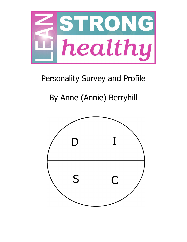

## Personality Survey and Profile

## By Anne (Annie) Berryhill

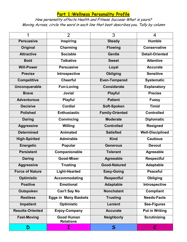## **Part 1:Wellness Personality Profile**

How personality affects Health and Fitness Success-What is yours? Moving Across, circle the word in each line that best describes you. Tally by column

|                         | $\overline{2}$                        | 3                      | 4                       |
|-------------------------|---------------------------------------|------------------------|-------------------------|
| <b>Persuasive</b>       | <b>Inspiring</b>                      | <b>Steady</b>          | <b>Humble</b>           |
| <b>Original</b>         | Charming                              | <b>Flowing</b>         | <b>Conservative</b>     |
| <b>Attractive</b>       | <b>Sociable</b>                       | <b>Gentle</b>          | <b>Detail-Oriented</b>  |
| <b>Bold</b>             | <b>Talkative</b>                      | <b>Sweet</b>           | <b>Attentive</b>        |
| <b>Will-Power</b>       | <b>Persuasive</b>                     | Loyal                  | <b>Accurate</b>         |
| <b>Precise</b>          | Introspective                         | <b>Obliging</b>        | <b>Sensitive</b>        |
| <b>Competitive</b>      | <b>Cheerful</b>                       | <b>Even-Tempered</b>   | <b>Systematic</b>       |
| Unconquerable           | <b>Fun-Loving</b>                     | <b>Considerate</b>     | <b>Explanatory</b>      |
| <b>Brave</b>            | <b>Jovial</b>                         | <b>Playful</b>         | <b>Precise</b>          |
| <b>Adventurous</b>      | <b>Playful</b>                        | <b>Patient</b>         | <b>Fussy</b>            |
| <b>Decisive</b>         | Cordial                               | Soft-Spoken            | <b>Timid</b>            |
| <b>Polished</b>         | <b>Enthusiastic</b>                   | <b>Family-Oriented</b> | <b>Controlled</b>       |
| <b>Daring</b>           | Convincing                            | <b>Moderate</b>        | <b>Diplomatic</b>       |
| <b>Aggressive</b>       | Willing                               | <b>Controlled</b>      | <b>Resigned</b>         |
| <b>Determined</b>       | <b>Animated</b>                       | <b>Satisfied</b>       | <b>Well-Disciplined</b> |
| <b>High-Spirited</b>    | <b>Admirable</b>                      | <b>Kind</b>            | <b>Cautious</b>         |
| <b>Energetic</b>        | Popular                               | <b>Generous</b>        | <b>Devout</b>           |
| <b>Persistent</b>       | Companionable                         | <b>Tolerant</b>        | <b>Agreeable</b>        |
| <b>Daring</b>           | <b>Good-Mixer</b>                     | <b>Agreeable</b>       | <b>Respectful</b>       |
| <b>Aggressive</b>       | <b>Trusting</b>                       | <b>Good-Natured</b>    | <b>Adaptable</b>        |
| <b>Force of Nature</b>  | <b>Light-Hearted</b>                  | <b>Easy-Going</b>      | <b>Peaceful</b>         |
| <b>Optimistic</b>       | <b>Accommodating</b>                  | <b>Respectful</b>      | Obliging                |
| <b>Positive</b>         | <b>Emotional</b>                      | <b>Adaptable</b>       | Introspective           |
| <b>Outspoken</b>        | <b>Can't Say No</b>                   | <b>Nonchalant</b>      | Compliant               |
| <b>Restless</b>         | <b>Eggs in Many Baskets</b>           | <b>Trusting</b>        | <b>Needs-Facts</b>      |
| <b>Impatient</b>        | <b>Optimistic</b>                     | <b>Lenient</b>         | <b>See-Figures</b>      |
| <b>Results-Oriented</b> | <b>Enjoy-Company</b>                  | <b>Accurate</b>        | <b>Put in Writing</b>   |
| <b>Fast-Moving</b>      | <b>Good Human</b><br><b>Relations</b> | <b>Neighborly</b>      | <b>Scrutinizing</b>     |
| D                       | $\mathbf I$                           | $\mathsf{S}$           | $\mathcal C$            |